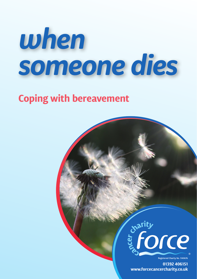# *when someone dies*

## **Coping with bereavement**



Registered Charity No. 1140676

**01392 406151 www.forcecancercharity.co.uk**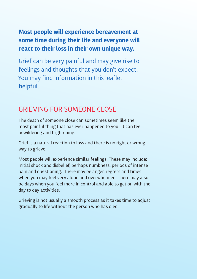### **Most people will experience bereavement at some time during their life and everyone will react to their loss in their own unique way.**

Grief can be very painful and may give rise to feelings and thoughts that you don't expect. You may find information in this leaflet helpful.

## GRIEVING FOR SOMEONE CLOSE

The death of someone close can sometimes seem like the most painful thing that has ever happened to you. It can feel bewildering and frightening.

Grief is a natural reaction to loss and there is no right or wrong way to grieve.

Most people will experience similar feelings. These may include: initial shock and disbelief, perhaps numbness, periods of intense pain and questioning. There may be anger, regrets and times when you may feel very alone and overwhelmed. There may also be days when you feel more in control and able to get on with the day to day activities.

Grieving is not usually a smooth process as it takes time to adjust gradually to life without the person who has died.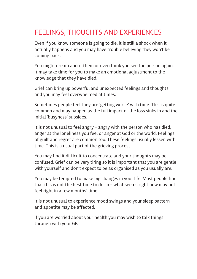## FEELINGS, THOUGHTS AND EXPERIENCES

Even if you know someone is going to die, it is still a shock when it actually happens and you may have trouble believing they won't be coming back.

You might dream about them or even think you see the person again. It may take time for you to make an emotional adjustment to the knowledge that they have died.

Grief can bring up powerful and unexpected feelings and thoughts and you may feel overwhelmed at times.

Sometimes people feel they are 'getting worse' with time. This is quite common and may happen as the full impact of the loss sinks in and the initial 'busyness' subsides.

It is not unusual to feel angry – angry with the person who has died, anger at the loneliness you feel or anger at God or the world. Feelings of guilt and regret are common too. These feelings usually lessen with time. This is a usual part of the grieving process.

You may find it difficult to concentrate and your thoughts may be confused. Grief can be very tiring so it is important that you are gentle with yourself and don't expect to be as organised as you usually are.

You may be tempted to make big changes in your life. Most people find that this is not the best time to do so – what seems right now may not feel right in a few months' time.

It is not unusual to experience mood swings and your sleep pattern and appetite may be affected.

If you are worried about your health you may wish to talk things through with your GP.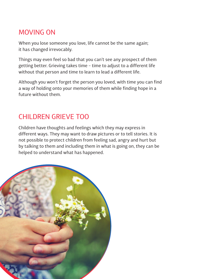## MOVING ON

When you lose someone you love, life cannot be the same again; it has changed irrevocably.

Things may even feel so bad that you can't see any prospect of them getting better. Grieving takes time – time to adjust to a different life without that person and time to learn to lead a different life.

Although you won't forget the person you loved, with time you can find a way of holding onto your memories of them while finding hope in a future without them.

## CHILDREN GRIEVE TOO

Children have thoughts and feelings which they may express in different ways. They may want to draw pictures or to tell stories. It is not possible to protect children from feeling sad, angry and hurt but by talking to them and including them in what is going on, they can be helped to understand what has happened.

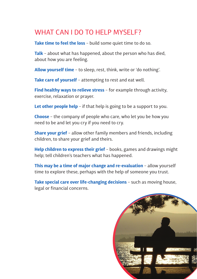## WHAT CAN I DO TO HELP MYSELE?

**Take time to feel the loss** – build some quiet time to do so.

**Talk** – about what has happened, about the person who has died, about how you are feeling.

**Allow yourself time** – to sleep, rest, think, write or 'do nothing'.

**Take care of yourself** – attempting to rest and eat well.

**Find healthy ways to relieve stress** – for example through activity, exercise, relaxation or prayer.

**Let other people help** – if that help is going to be a support to you.

**Choose** – the company of people who care, who let you be how you need to be and let you cry if you need to cry.

**Share your grief** – allow other family members and friends, including children, to share your grief and theirs.

**Help children to express their grief** – books, games and drawings might help; tell children's teachers what has happened.

**This may be a time of major change and re-evaluation** – allow yourself time to explore these, perhaps with the help of someone you trust.

**Take special care over life-changing decisions** – such as moving house, legal or financial concerns.

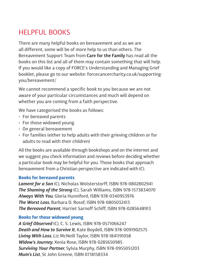## HELPFUL BOOKS

There are many helpful books on bereavement and as we are all different, some will be of more help to us than others. The Bereavement Support Team from **Care for the Family** has read all the books on this list and all of them may contain something that will help. If you would like a copy of FORCE's Understanding and Managing Grief booklet, please go to our website: [forcecancercharity.co.uk/supporting](http://forcecancercharity.co.uk/supporting-you/bereavement/)[you/bereavement/](http://forcecancercharity.co.uk/supporting-you/bereavement/)

We cannot recommend a specific book to you because we are not aware of your particular circumstances and much will depend on whether you are coming from a faith perspective.

We have categorised the books as follows:

- For bereaved parents
- For those widowed young
- On general bereavement
- For families (either to help adults with their grieving children or for adults to read with their children)

All the books are available through bookshops and on the internet and we suggest you check information and reviews before deciding whether a particular book may be helpful for you. Those books that approach bereavement from a Christian perspective are indicated with (C).

#### **Books for bereaved parents**

*Lament for a Son* (C), Nicholas Wolsterstorff, ISBN 978-0802802941 *The Shaming of the Strong* (C), Sarah Williams, ISBN 978-1573834070 *Always With You*, Gloria Hunniford, ISBN 978-0340953976 *The Worst Loss*, Barbara D. Rosof, ISBN 978-0805032413 *The Bereaved Parent*, Harriet Sarnoff Schiff, ISBN 978-0285648913

#### **Books for those widowed young**

*A Grief Observed* (C), C. S. Lewis, ISBN 978-0571066247 *Death and How to Survive It*, Kate Boydell, ISBN 978-0091902575 *Living With Loss*, Liz McNeill Taylor, ISBN 978-1841191058 *Widow's Journey*, Xenia Rose, ISBN 978-0285650985 *Surviving Your Partner*, Sylvia Murphy, ISBN 978-0955051203 *Mum's List*, St John Greene, ISBN 0718158334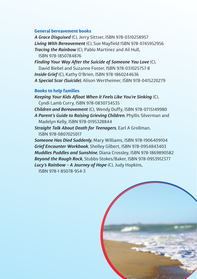#### **General bereavement books**

*A Grace Disguised* (C), Jerry Sittser, ISBN 978-0310258957 *Living With Bereavement* (C), Sue Mayfield ISBN 978-0745952956 *Tracing the Rainbow* (C), Pablo Martinez and Ali Hull, ISBN 978-1850784876

*Finding Your Way After the Suicide of Someone You Love* (C), David Biebel and Suzanne Foster, ISBN 978-031025757-8 *Inside Grief* (C), Kathy O'Brien, ISBN 978-1860244636 *A Special Scar (Suicide)*, Alison Wertheimer, ISBN 978-0415220279

#### **Books to help families**

*Keeping Your Kids Afloat When it Feels Like You're Sinking* (C), Cyndi Lamb Curry, ISBN 978-0830734535

*Children and Bereavement* (C), Wendy Duffy, ISBN 978-0715149980 *A Parent's Guide to Raising Grieving Children*, Phyllis Silverman and Madelyn Kelly, ISBN 978-0195328844

*Straight Talk About Death for Teenagers*, Earl A Grollman, ISBN 978-0807025017

*Someone Has Died Suddenly*, Mary Williams, ISBN 978-1906409104 *Grief Encounter Workbook*, Shelley Gilbert, ISBN 978-0954843403 *Muddles Puddles and Sunshine*, Diana Crossley, ISBN 978-1869890582 *Beyond the Rough Rock*, Stubbs-Stokes/Baker, ISBN 978-0953912377 *Lucy's Rainbow – A Journey of Hope* (C), Judy Hopkins,

ISBN 978-1-85078-954-3